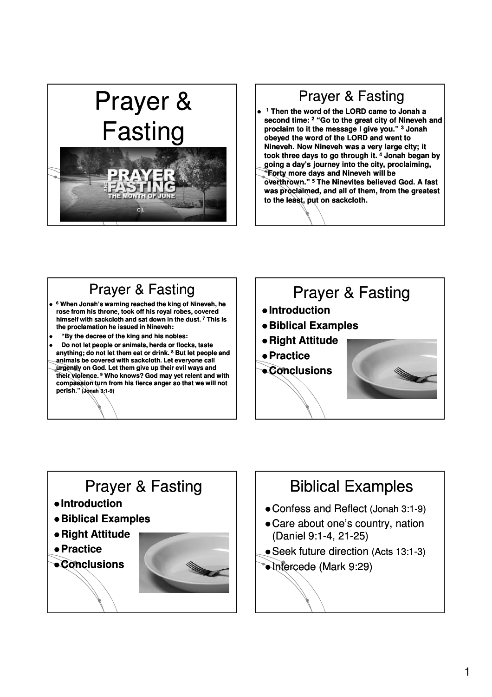# Prayer & Fasting

# Prayer & Fasting

- **<sup>1</sup> Then the word of the LORD came to Jonah a second time: <sup>2</sup> "Go to the great city of Nineveh and proclaim to it the message I give you." <sup>3</sup> Jonah obeyed the word of the LORD and went to Nineveh. Now Nineveh was a very large city; it took three days to go through it. <sup>4</sup> Jonah began by going a day's journey into the city, proclaiming,**
- **"Forty more days and Nineveh will be overthrown."**<sup>5</sup> The Ninevites believed God. A fast **was proclaimed, and all of them, from the greatest to the least, put on sackcloth.**

#### Prayer & Fasting **<sup>6</sup> When Jonah's warning reached the king of Nineveh, he**

- **rose from his throne, took off his royal robes, covered himself with sackcloth and sat down in the dust. <sup>7</sup> This is the proclamation he issued in Nineveh:**
- **"By the decree of the king and his nobles:**
- **Do not let people or animals, herds or flocks, taste**  anything; do not let them eat or drink. <sup>8</sup> But let people and **animals be covered with sackcloth. Let everyone call urgently on God. Let them give up their evil ways and their violence. <sup>9</sup> Who knows? God may yet relent and with compassion turn from his fierce anger so that we will not perish." (Jonah 3:1 3:1-9)**

# Prayer & Fasting **Introduction Biblical Examples Right Attitude Practice Conclusions**

# Prayer & Fasting

- **Introduction**
- **Biblical Examples**
- **Right Attitude**
- **Practice**

**Conclusions**



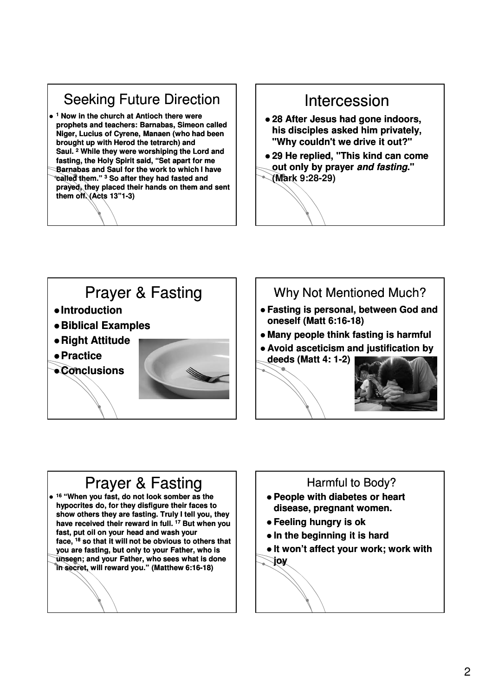#### Seeking Future Direction **<sup>1</sup> Now in the church at Antioch there were prophets and teachers: Barnabas, Simeon called Niger, Lucius of Cyrene, Manaen (who had been brought up with Herod the tetrarch) and Saul. <sup>2</sup> While they were worshiping the Lord and**  fasting, the Holy Spirit said, "Set apart for me **Barnabas and Saul for the work to which I have called them." <sup>3</sup> So after they had fasted and prayed, they placed their hands on them and sent them off. (Acts 13"1 13"1-3)**

#### Intercession

- **28 After Jesus had gone indoors, his disciples asked him privately, "Why couldn't we drive it out?"**
- **29 He replied, "This kind can come out only by prayer and fasting."**



#### Prayer & Fasting **Introduction Biblical Examples Right Attitude Practice**

**Conclusions**



#### Why Not Mentioned Much?

- **Fasting is personal, between God and oneself (Matt 6:16 6:16-18)**
- **Many people think fasting is harmful**
- **Avoid asceticism and justification by**



### Prayer & Fasting

 **<sup>16</sup> "When you fast, do not look somber as the , hypocrites do, for they disfigure their faces to**  show others they are fasting. Truly I tell you, they **have received their reward in full. <sup>17</sup> But when you fast, put oil on your head and wash your face, <sup>18</sup> so that it will not be obvious to others that you are fasting, but only to your Father, who is unseen; and your Father, who sees what is done in secret, will reward you." (Matthew 6:16 6:16-18)**

#### Harmful to Body?

- **People with diabetes or heart disease, pregnant women.**
- **Feeling hungry is ok**
- **In the beginning it is hard**
- **It won't affect your work; work with joy**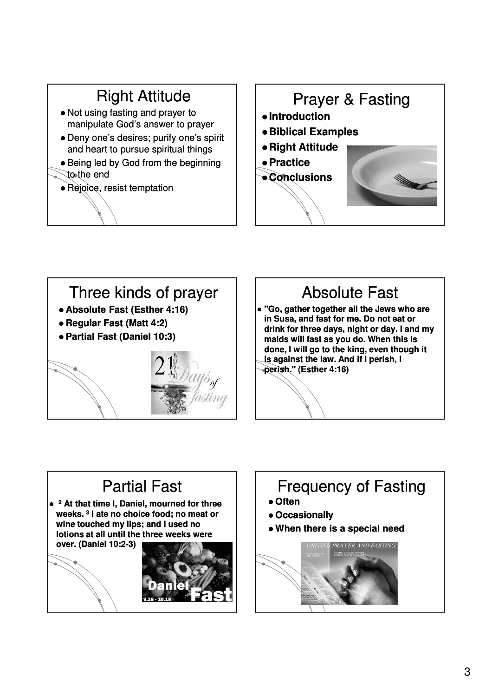#### Right Attitude Not using fasting and prayer to manipulate God's answer to prayer Deny one's desires; purify one's spirit and heart to pursue spiritual things • Being led by God from the beginning to the end • Rejoice, resist temptation Prayer & Fasting **Introduction Biblical Examples Right Attitude Practice Conclusions**



# Absolute Fast

 **"Go, gather together all the Jews who are in Susa, and fast for me. Do not eat or**  drink for three days, night or day. I and my **maids will fast as you do. When this is done, I will go to the king, even though it is against the law. And if I perish, I perish." perish." (Esther 4:16)**

# Partial Fast

 **<sup>2</sup> At that time I, Daniel, mourned for three weeks. <sup>3</sup> I ate no choice food; no meat or**  wine touched my lips; and I used no **lotions at all until the three weeks were over. (Daniel 10:2 10:2-3)**





# Frequency of Fasting

- **Often**
- **Occasionally**
- **When there is a special need**